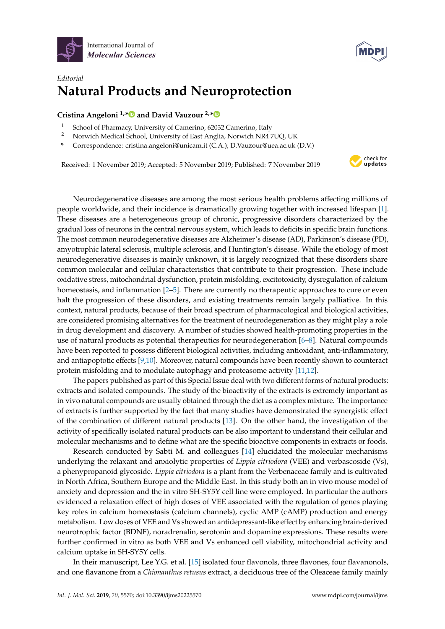



## *Editorial* **Natural Products and Neuroprotection**

## **Cristina Angeloni 1,[\\*](https://orcid.org/0000-0002-6731-6187) and David Vauzour 2,[\\*](https://orcid.org/0000-0001-5952-8756)**

- <sup>1</sup> School of Pharmacy, University of Camerino, 62032 Camerino, Italy<br><sup>2</sup> Norwich Modical School University of East Anglia Norwich NP4.
- <sup>2</sup> Norwich Medical School, University of East Anglia, Norwich NR4 7UQ, UK
- **\*** Correspondence: cristina.angeloni@unicam.it (C.A.); D.Vauzour@uea.ac.uk (D.V.)

Received: 1 November 2019; Accepted: 5 November 2019; Published: 7 November 2019



Neurodegenerative diseases are among the most serious health problems affecting millions of people worldwide, and their incidence is dramatically growing together with increased lifespan [\[1\]](#page-3-0). These diseases are a heterogeneous group of chronic, progressive disorders characterized by the gradual loss of neurons in the central nervous system, which leads to deficits in specific brain functions. The most common neurodegenerative diseases are Alzheimer's disease (AD), Parkinson's disease (PD), amyotrophic lateral sclerosis, multiple sclerosis, and Huntington's disease. While the etiology of most neurodegenerative diseases is mainly unknown, it is largely recognized that these disorders share common molecular and cellular characteristics that contribute to their progression. These include oxidative stress, mitochondrial dysfunction, protein misfolding, excitotoxicity, dysregulation of calcium homeostasis, and inflammation [\[2](#page-3-1)[–5\]](#page-3-2). There are currently no therapeutic approaches to cure or even halt the progression of these disorders, and existing treatments remain largely palliative. In this context, natural products, because of their broad spectrum of pharmacological and biological activities, are considered promising alternatives for the treatment of neurodegeneration as they might play a role in drug development and discovery. A number of studies showed health-promoting properties in the use of natural products as potential therapeutics for neurodegeneration  $[6-8]$  $[6-8]$ . Natural compounds have been reported to possess different biological activities, including antioxidant, anti-inflammatory, and antiapoptotic effects [\[9](#page-3-5)[,10\]](#page-3-6). Moreover, natural compounds have been recently shown to counteract protein misfolding and to modulate autophagy and proteasome activity [\[11,](#page-3-7)[12\]](#page-3-8).

The papers published as part of this Special Issue deal with two different forms of natural products: extracts and isolated compounds. The study of the bioactivity of the extracts is extremely important as in vivo natural compounds are usually obtained through the diet as a complex mixture. The importance of extracts is further supported by the fact that many studies have demonstrated the synergistic effect of the combination of different natural products [\[13\]](#page-4-0). On the other hand, the investigation of the activity of specifically isolated natural products can be also important to understand their cellular and molecular mechanisms and to define what are the specific bioactive components in extracts or foods.

Research conducted by Sabti M. and colleagues [\[14\]](#page-4-1) elucidated the molecular mechanisms underlying the relaxant and anxiolytic properties of *Lippia citriodora* (VEE) and verbascoside (Vs), a phenypropanoid glycoside. *Lippia citriodora* is a plant from the Verbenaceae family and is cultivated in North Africa, Southern Europe and the Middle East. In this study both an in vivo mouse model of anxiety and depression and the in vitro SH-SY5Y cell line were employed. In particular the authors evidenced a relaxation effect of high doses of VEE associated with the regulation of genes playing key roles in calcium homeostasis (calcium channels), cyclic AMP (cAMP) production and energy metabolism. Low doses of VEE and Vs showed an antidepressant-like effect by enhancing brain-derived neurotrophic factor (BDNF), noradrenalin, serotonin and dopamine expressions. These results were further confirmed in vitro as both VEE and Vs enhanced cell viability, mitochondrial activity and calcium uptake in SH-SY5Y cells.

In their manuscript, Lee Y.G. et al. [\[15\]](#page-4-2) isolated four flavonols, three flavones, four flavanonols, and one flavanone from a *Chionanthus retusus* extract, a deciduous tree of the Oleaceae family mainly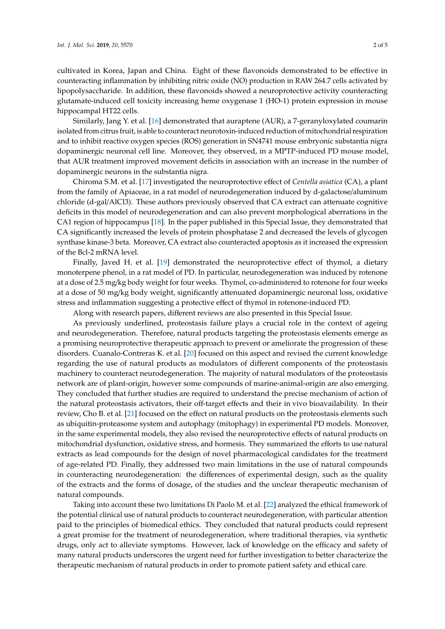cultivated in Korea, Japan and China. Eight of these flavonoids demonstrated to be effective in counteracting inflammation by inhibiting nitric oxide (NO) production in RAW 264.7 cells activated by lipopolysaccharide. In addition, these flavonoids showed a neuroprotective activity counteracting glutamate-induced cell toxicity increasing heme oxygenase 1 (HO-1) protein expression in mouse hippocampal HT22 cells.

Similarly, Jang Y. et al. [\[16\]](#page-4-3) demonstrated that auraptene (AUR), a 7-geranyloxylated coumarin isolated from citrus fruit, is able to counteract neurotoxin-induced reduction of mitochondrial respiration and to inhibit reactive oxygen species (ROS) generation in SN4741 mouse embryonic substantia nigra dopaminergic neuronal cell line. Moreover, they observed, in a MPTP-induced PD mouse model, that AUR treatment improved movement deficits in association with an increase in the number of dopaminergic neurons in the substantia nigra.

Chiroma S.M. et al. [\[17\]](#page-4-4) investigated the neuroprotective effect of *Centella asiatica* (CA), a plant from the family of Apiaceae, in a rat model of neurodegeneration induced by d-galactose/aluminum chloride (d-gal/AlCl3). These authors previously observed that CA extract can attenuate cognitive deficits in this model of neurodegeneration and can also prevent morphological aberrations in the CA1 region of hippocampus [\[18\]](#page-4-5). In the paper published in this Special Issue, they demonstrated that CA significantly increased the levels of protein phosphatase 2 and decreased the levels of glycogen synthase kinase-3 beta. Moreover, CA extract also counteracted apoptosis as it increased the expression of the Bcl-2 mRNA level.

Finally, Javed H. et al. [\[19\]](#page-4-6) demonstrated the neuroprotective effect of thymol, a dietary monoterpene phenol, in a rat model of PD. In particular, neurodegeneration was induced by rotenone at a dose of 2.5 mg/kg body weight for four weeks. Thymol, co-administered to rotenone for four weeks at a dose of 50 mg/kg body weight, significantly attenuated dopaminergic neuronal loss, oxidative stress and inflammation suggesting a protective effect of thymol in rotenone-induced PD.

Along with research papers, different reviews are also presented in this Special Issue.

As previously underlined, proteostasis failure plays a crucial role in the context of ageing and neurodegeneration. Therefore, natural products targeting the proteostasis elements emerge as a promising neuroprotective therapeutic approach to prevent or ameliorate the progression of these disorders. Cuanalo-Contreras K. et al. [\[20\]](#page-4-7) focused on this aspect and revised the current knowledge regarding the use of natural products as modulators of different components of the proteostasis machinery to counteract neurodegeneration. The majority of natural modulators of the proteostasis network are of plant-origin, however some compounds of marine-animal-origin are also emerging. They concluded that further studies are required to understand the precise mechanism of action of the natural proteostasis activators, their off-target effects and their in vivo bioavailability. In their review, Cho B. et al. [\[21\]](#page-4-8) focused on the effect on natural products on the proteostasis elements such as ubiquitin-proteasome system and autophagy (mitophagy) in experimental PD models. Moreover, in the same experimental models, they also revised the neuroprotective effects of natural products on mitochondrial dysfunction, oxidative stress, and hormesis. They summarized the efforts to use natural extracts as lead compounds for the design of novel pharmacological candidates for the treatment of age-related PD. Finally, they addressed two main limitations in the use of natural compounds in counteracting neurodegeneration: the differences of experimental design, such as the quality of the extracts and the forms of dosage, of the studies and the unclear therapeutic mechanism of natural compounds.

Taking into account these two limitations Di Paolo M. et al. [\[22\]](#page-4-9) analyzed the ethical framework of the potential clinical use of natural products to counteract neurodegeneration, with particular attention paid to the principles of biomedical ethics. They concluded that natural products could represent a great promise for the treatment of neurodegeneration, where traditional therapies, via synthetic drugs, only act to alleviate symptoms. However, lack of knowledge on the efficacy and safety of many natural products underscores the urgent need for further investigation to better characterize the therapeutic mechanism of natural products in order to promote patient safety and ethical care.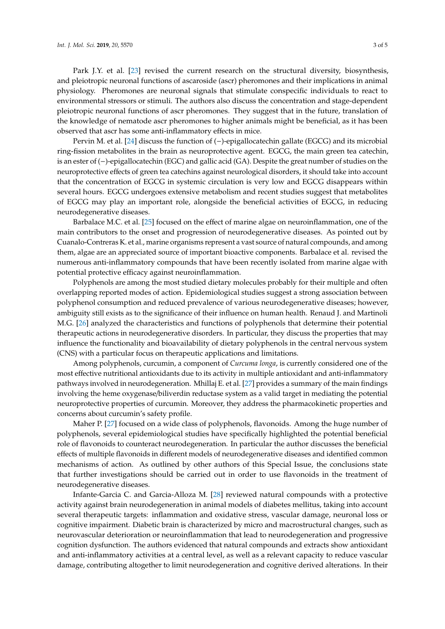Park J.Y. et al. [\[23\]](#page-4-10) revised the current research on the structural diversity, biosynthesis, and pleiotropic neuronal functions of ascaroside (ascr) pheromones and their implications in animal physiology. Pheromones are neuronal signals that stimulate conspecific individuals to react to environmental stressors or stimuli. The authors also discuss the concentration and stage-dependent pleiotropic neuronal functions of ascr pheromones. They suggest that in the future, translation of the knowledge of nematode ascr pheromones to higher animals might be beneficial, as it has been observed that ascr has some anti-inflammatory effects in mice.

Pervin M. et al. [\[24\]](#page-4-11) discuss the function of (−)-epigallocatechin gallate (EGCG) and its microbial ring-fission metabolites in the brain as neuroprotective agent. EGCG, the main green tea catechin, is an ester of (−)-epigallocatechin (EGC) and gallic acid (GA). Despite the great number of studies on the neuroprotective effects of green tea catechins against neurological disorders, it should take into account that the concentration of EGCG in systemic circulation is very low and EGCG disappears within several hours. EGCG undergoes extensive metabolism and recent studies suggest that metabolites of EGCG may play an important role, alongside the beneficial activities of EGCG, in reducing neurodegenerative diseases.

Barbalace M.C. et al. [\[25\]](#page-4-12) focused on the effect of marine algae on neuroinflammation, one of the main contributors to the onset and progression of neurodegenerative diseases. As pointed out by Cuanalo-Contreras K. et al., marine organisms represent a vast source of natural compounds, and among them, algae are an appreciated source of important bioactive components. Barbalace et al. revised the numerous anti-inflammatory compounds that have been recently isolated from marine algae with potential protective efficacy against neuroinflammation.

Polyphenols are among the most studied dietary molecules probably for their multiple and often overlapping reported modes of action. Epidemiological studies suggest a strong association between polyphenol consumption and reduced prevalence of various neurodegenerative diseases; however, ambiguity still exists as to the significance of their influence on human health. Renaud J. and Martinoli M.G. [\[26\]](#page-4-13) analyzed the characteristics and functions of polyphenols that determine their potential therapeutic actions in neurodegenerative disorders. In particular, they discuss the properties that may influence the functionality and bioavailability of dietary polyphenols in the central nervous system (CNS) with a particular focus on therapeutic applications and limitations.

Among polyphenols, curcumin, a component of *Curcuma longa*, is currently considered one of the most effective nutritional antioxidants due to its activity in multiple antioxidant and anti-inflammatory pathways involved in neurodegeneration. Mhillaj E. et al. [\[27\]](#page-4-14) provides a summary of the main findings involving the heme oxygenase/biliverdin reductase system as a valid target in mediating the potential neuroprotective properties of curcumin. Moreover, they address the pharmacokinetic properties and concerns about curcumin's safety profile.

Maher P. [\[27\]](#page-4-14) focused on a wide class of polyphenols, flavonoids. Among the huge number of polyphenols, several epidemiological studies have specifically highlighted the potential beneficial role of flavonoids to counteract neurodegeneration. In particular the author discusses the beneficial effects of multiple flavonoids in different models of neurodegenerative diseases and identified common mechanisms of action. As outlined by other authors of this Special Issue, the conclusions state that further investigations should be carried out in order to use flavonoids in the treatment of neurodegenerative diseases.

Infante-Garcia C. and Garcia-Alloza M. [\[28\]](#page-4-15) reviewed natural compounds with a protective activity against brain neurodegeneration in animal models of diabetes mellitus, taking into account several therapeutic targets: inflammation and oxidative stress, vascular damage, neuronal loss or cognitive impairment. Diabetic brain is characterized by micro and macrostructural changes, such as neurovascular deterioration or neuroinflammation that lead to neurodegeneration and progressive cognition dysfunction. The authors evidenced that natural compounds and extracts show antioxidant and anti-inflammatory activities at a central level, as well as a relevant capacity to reduce vascular damage, contributing altogether to limit neurodegeneration and cognitive derived alterations. In their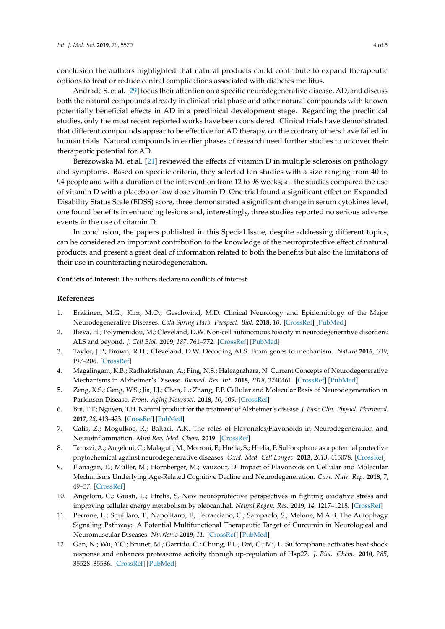conclusion the authors highlighted that natural products could contribute to expand therapeutic options to treat or reduce central complications associated with diabetes mellitus.

Andrade S. et al. [\[29\]](#page-4-16) focus their attention on a specific neurodegenerative disease, AD, and discuss both the natural compounds already in clinical trial phase and other natural compounds with known potentially beneficial effects in AD in a preclinical development stage. Regarding the preclinical studies, only the most recent reported works have been considered. Clinical trials have demonstrated that different compounds appear to be effective for AD therapy, on the contrary others have failed in human trials. Natural compounds in earlier phases of research need further studies to uncover their therapeutic potential for AD.

Berezowska M. et al. [\[21\]](#page-4-8) reviewed the effects of vitamin D in multiple sclerosis on pathology and symptoms. Based on specific criteria, they selected ten studies with a size ranging from 40 to 94 people and with a duration of the intervention from 12 to 96 weeks; all the studies compared the use of vitamin D with a placebo or low dose vitamin D. One trial found a significant effect on Expanded Disability Status Scale (EDSS) score, three demonstrated a significant change in serum cytokines level, one found benefits in enhancing lesions and, interestingly, three studies reported no serious adverse events in the use of vitamin D.

In conclusion, the papers published in this Special Issue, despite addressing different topics, can be considered an important contribution to the knowledge of the neuroprotective effect of natural products, and present a great deal of information related to both the benefits but also the limitations of their use in counteracting neurodegeneration.

**Conflicts of Interest:** The authors declare no conflicts of interest.

## **References**

- <span id="page-3-0"></span>1. Erkkinen, M.G.; Kim, M.O.; Geschwind, M.D. Clinical Neurology and Epidemiology of the Major Neurodegenerative Diseases. *Cold Spring Harb. Perspect. Biol.* **2018**, *10*. [\[CrossRef\]](http://dx.doi.org/10.1101/cshperspect.a033118) [\[PubMed\]](http://www.ncbi.nlm.nih.gov/pubmed/28716886)
- <span id="page-3-1"></span>2. Ilieva, H.; Polymenidou, M.; Cleveland, D.W. Non-cell autonomous toxicity in neurodegenerative disorders: ALS and beyond. *J. Cell Biol.* **2009**, *187*, 761–772. [\[CrossRef\]](http://dx.doi.org/10.1083/jcb.200908164) [\[PubMed\]](http://www.ncbi.nlm.nih.gov/pubmed/19951898)
- 3. Taylor, J.P.; Brown, R.H.; Cleveland, D.W. Decoding ALS: From genes to mechanism. *Nature* **2016**, *539*, 197–206. [\[CrossRef\]](http://dx.doi.org/10.1038/nature20413)
- 4. Magalingam, K.B.; Radhakrishnan, A.; Ping, N.S.; Haleagrahara, N. Current Concepts of Neurodegenerative Mechanisms in Alzheimer's Disease. *Biomed. Res. Int.* **2018**, *2018*, 3740461. [\[CrossRef\]](http://dx.doi.org/10.1155/2018/3740461) [\[PubMed\]](http://www.ncbi.nlm.nih.gov/pubmed/29707568)
- <span id="page-3-2"></span>5. Zeng, X.S.; Geng, W.S.; Jia, J.J.; Chen, L.; Zhang, P.P. Cellular and Molecular Basis of Neurodegeneration in Parkinson Disease. *Front. Aging Neurosci.* **2018**, *10*, 109. [\[CrossRef\]](http://dx.doi.org/10.3389/fnagi.2018.00109)
- <span id="page-3-3"></span>6. Bui, T.T.; Nguyen, T.H. Natural product for the treatment of Alzheimer's disease. *J. Basic Clin. Physiol. Pharmacol.* **2017**, *28*, 413–423. [\[CrossRef\]](http://dx.doi.org/10.1515/jbcpp-2016-0147) [\[PubMed\]](http://www.ncbi.nlm.nih.gov/pubmed/28708573)
- 7. Calis, Z.; Mogulkoc, R.; Baltaci, A.K. The roles of Flavonoles/Flavonoids in Neurodegeneration and Neuroinflammation. *Mini Rev. Med. Chem.* **2019**. [\[CrossRef\]](http://dx.doi.org/10.2174/1389557519666190617150051)
- <span id="page-3-4"></span>8. Tarozzi, A.; Angeloni, C.; Malaguti, M.; Morroni, F.; Hrelia, S.; Hrelia, P. Sulforaphane as a potential protective phytochemical against neurodegenerative diseases. *Oxid. Med. Cell Longev.* **2013**, *2013*, 415078. [\[CrossRef\]](http://dx.doi.org/10.1155/2013/415078)
- <span id="page-3-5"></span>9. Flanagan, E.; Müller, M.; Hornberger, M.; Vauzour, D. Impact of Flavonoids on Cellular and Molecular Mechanisms Underlying Age-Related Cognitive Decline and Neurodegeneration. *Curr. Nutr. Rep.* **2018**, *7*, 49–57. [\[CrossRef\]](http://dx.doi.org/10.1007/s13668-018-0226-1)
- <span id="page-3-6"></span>10. Angeloni, C.; Giusti, L.; Hrelia, S. New neuroprotective perspectives in fighting oxidative stress and improving cellular energy metabolism by oleocanthal. *Neural Regen. Res.* **2019**, *14*, 1217–1218. [\[CrossRef\]](http://dx.doi.org/10.4103/1673-5374.251327)
- <span id="page-3-7"></span>11. Perrone, L.; Squillaro, T.; Napolitano, F.; Terracciano, C.; Sampaolo, S.; Melone, M.A.B. The Autophagy Signaling Pathway: A Potential Multifunctional Therapeutic Target of Curcumin in Neurological and Neuromuscular Diseases. *Nutrients* **2019**, *11*. [\[CrossRef\]](http://dx.doi.org/10.3390/nu11081881) [\[PubMed\]](http://www.ncbi.nlm.nih.gov/pubmed/31412596)
- <span id="page-3-8"></span>12. Gan, N.; Wu, Y.C.; Brunet, M.; Garrido, C.; Chung, F.L.; Dai, C.; Mi, L. Sulforaphane activates heat shock response and enhances proteasome activity through up-regulation of Hsp27. *J. Biol. Chem.* **2010**, *285*, 35528–35536. [\[CrossRef\]](http://dx.doi.org/10.1074/jbc.M110.152686) [\[PubMed\]](http://www.ncbi.nlm.nih.gov/pubmed/20833711)